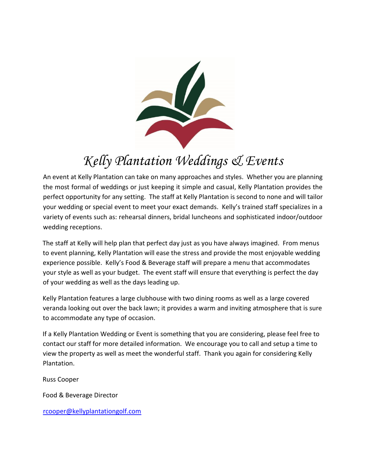

# *Kelly Plantation Weddings & Events*

An event at Kelly Plantation can take on many approaches and styles. Whether you are planning the most formal of weddings or just keeping it simple and casual, Kelly Plantation provides the perfect opportunity for any setting. The staff at Kelly Plantation is second to none and will tailor your wedding or special event to meet your exact demands. Kelly's trained staff specializes in a variety of events such as: rehearsal dinners, bridal luncheons and sophisticated indoor/outdoor wedding receptions.

The staff at Kelly will help plan that perfect day just as you have always imagined. From menus to event planning, Kelly Plantation will ease the stress and provide the most enjoyable wedding experience possible. Kelly's Food & Beverage staff will prepare a menu that accommodates your style as well as your budget. The event staff will ensure that everything is perfect the day of your wedding as well as the days leading up.

Kelly Plantation features a large clubhouse with two dining rooms as well as a large covered veranda looking out over the back lawn; it provides a warm and inviting atmosphere that is sure to accommodate any type of occasion.

If a Kelly Plantation Wedding or Event is something that you are considering, please feel free to contact our staff for more detailed information. We encourage you to call and setup a time to view the property as well as meet the wonderful staff. Thank you again for considering Kelly Plantation.

Russ Cooper

Food & Beverage Director

rcooper@kellyplantationgolf.com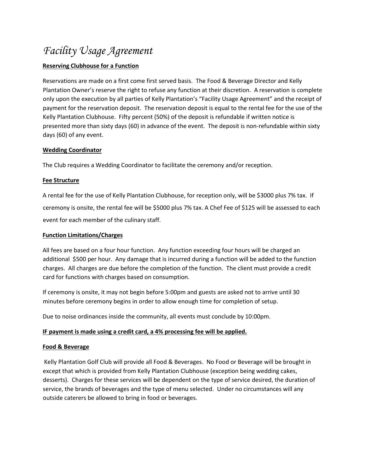# *Facility Usage Agreement*

## **Reserving Clubhouse for a Function**

Reservations are made on a first come first served basis. The Food & Beverage Director and Kelly Plantation Owner's reserve the right to refuse any function at their discretion. A reservation is complete only upon the execution by all parties of Kelly Plantation's "Facility Usage Agreement" and the receipt of payment for the reservation deposit. The reservation deposit is equal to the rental fee for the use of the Kelly Plantation Clubhouse. Fifty percent (50%) of the deposit is refundable if written notice is presented more than sixty days (60) in advance of the event. The deposit is non-refundable within sixty days (60) of any event.

## **Wedding Coordinator**

The Club requires a Wedding Coordinator to facilitate the ceremony and/or reception.

## **Fee Structure**

A rental fee for the use of Kelly Plantation Clubhouse, for reception only, will be \$3000 plus 7% tax. If ceremony is onsite, the rental fee will be \$5000 plus 7% tax. A Chef Fee of \$125 will be assessed to each event for each member of the culinary staff.

### **Function Limitations/Charges**

All fees are based on a four hour function. Any function exceeding four hours will be charged an additional \$500 per hour. Any damage that is incurred during a function will be added to the function charges. All charges are due before the completion of the function. The client must provide a credit card for functions with charges based on consumption.

If ceremony is onsite, it may not begin before 5:00pm and guests are asked not to arrive until 30 minutes before ceremony begins in order to allow enough time for completion of setup.

Due to noise ordinances inside the community, all events must conclude by 10:00pm.

## **IF payment is made using a credit card, a 4% processing fee will be applied.**

#### **Food & Beverage**

Kelly Plantation Golf Club will provide all Food & Beverages. No Food or Beverage will be brought in except that which is provided from Kelly Plantation Clubhouse (exception being wedding cakes, desserts). Charges for these services will be dependent on the type of service desired, the duration of service, the brands of beverages and the type of menu selected. Under no circumstances will any outside caterers be allowed to bring in food or beverages.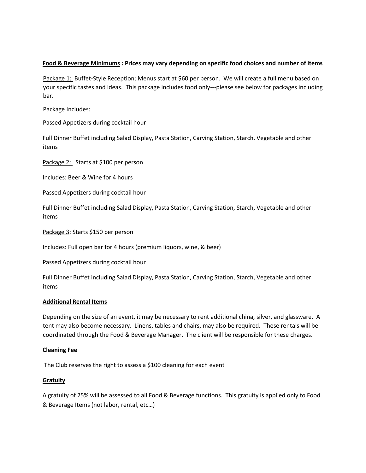#### **Food & Beverage Minimums : Prices may vary depending on specific food choices and number of items**

Package 1: Buffet-Style Reception; Menus start at \$60 per person. We will create a full menu based on your specific tastes and ideas. This package includes food only---please see below for packages including bar.

Package Includes:

Passed Appetizers during cocktail hour

Full Dinner Buffet including Salad Display, Pasta Station, Carving Station, Starch, Vegetable and other items

Package 2: Starts at \$100 per person

Includes: Beer & Wine for 4 hours

Passed Appetizers during cocktail hour

Full Dinner Buffet including Salad Display, Pasta Station, Carving Station, Starch, Vegetable and other items

Package 3: Starts \$150 per person

Includes: Full open bar for 4 hours (premium liquors, wine, & beer)

Passed Appetizers during cocktail hour

Full Dinner Buffet including Salad Display, Pasta Station, Carving Station, Starch, Vegetable and other items

#### **Additional Rental Items**

Depending on the size of an event, it may be necessary to rent additional china, silver, and glassware. A tent may also become necessary. Linens, tables and chairs, may also be required. These rentals will be coordinated through the Food & Beverage Manager. The client will be responsible for these charges.

#### **Cleaning Fee**

The Club reserves the right to assess a \$100 cleaning for each event

#### **Gratuity**

A gratuity of 25% will be assessed to all Food & Beverage functions. This gratuity is applied only to Food & Beverage Items (not labor, rental, etc…)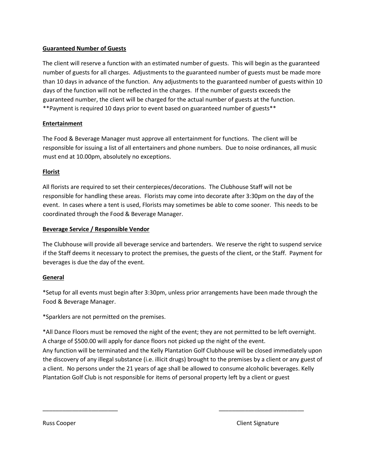### **Guaranteed Number of Guests**

The client will reserve a function with an estimated number of guests. This will begin as the guaranteed number of guests for all charges. Adjustments to the guaranteed number of guests must be made more than 10 days in advance of the function. Any adjustments to the guaranteed number of guests within 10 days of the function will not be reflected in the charges. If the number of guests exceeds the guaranteed number, the client will be charged for the actual number of guests at the function. \*\*Payment is required 10 days prior to event based on guaranteed number of guests\*\*

### **Entertainment**

The Food & Beverage Manager must approve all entertainment for functions. The client will be responsible for issuing a list of all entertainers and phone numbers. Due to noise ordinances, all music must end at 10.00pm, absolutely no exceptions.

### **Florist**

All florists are required to set their centerpieces/decorations. The Clubhouse Staff will not be responsible for handling these areas. Florists may come into decorate after 3:30pm on the day of the event. In cases where a tent is used, Florists may sometimes be able to come sooner. This needs to be coordinated through the Food & Beverage Manager.

### **Beverage Service / Responsible Vendor**

The Clubhouse will provide all beverage service and bartenders. We reserve the right to suspend service if the Staff deems it necessary to protect the premises, the guests of the client, or the Staff. Payment for beverages is due the day of the event.

## **General**

\*Setup for all events must begin after 3:30pm, unless prior arrangements have been made through the Food & Beverage Manager.

\*Sparklers are not permitted on the premises.

\*All Dance Floors must be removed the night of the event; they are not permitted to be left overnight. A charge of \$500.00 will apply for dance floors not picked up the night of the event. Any function will be terminated and the Kelly Plantation Golf Clubhouse will be closed immediately upon the discovery of any illegal substance (i.e. illicit drugs) brought to the premises by a client or any guest of a client. No persons under the 21 years of age shall be allowed to consume alcoholic beverages. Kelly Plantation Golf Club is not responsible for items of personal property left by a client or guest

\_\_\_\_\_\_\_\_\_\_\_\_\_\_\_\_\_\_\_\_\_\_\_ \_\_\_\_\_\_\_\_\_\_\_\_\_\_\_\_\_\_\_\_\_\_\_\_\_\_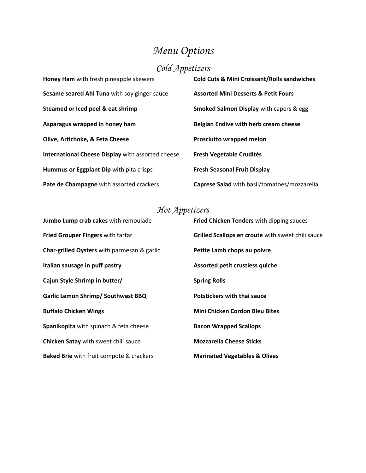# *Menu Options*

# *Cold Appetizers*

| Honey Ham with fresh pineapple skewers            | <b>Cold Cuts &amp; Mini Croissant/Rolls sandwiches</b> |
|---------------------------------------------------|--------------------------------------------------------|
| Sesame seared Ahi Tuna with soy ginger sauce      | <b>Assorted Mini Desserts &amp; Petit Fours</b>        |
| Steamed or Iced peel & eat shrimp                 | Smoked Salmon Display with capers & egg                |
| Asparagus wrapped in honey ham                    | <b>Belgian Endive with herb cream cheese</b>           |
| Olive, Artichoke, & Feta Cheese                   | <b>Prosciutto wrapped melon</b>                        |
| International Cheese Display with assorted cheese | <b>Fresh Vegetable Crudités</b>                        |
| Hummus or Eggplant Dip with pita crisps           | <b>Fresh Seasonal Fruit Display</b>                    |
| Pate de Champagne with assorted crackers          | Caprese Salad with basil/tomatoes/mozzarella           |

# *Hot Appetizers*

| Jumbo Lump crab cakes with remoulade            | Fried Chicken Tenders with dipping sauces         |
|-------------------------------------------------|---------------------------------------------------|
| <b>Fried Grouper Fingers with tartar</b>        | Grilled Scallops en croute with sweet chili sauce |
| Char-grilled Oysters with parmesan & garlic     | Petite Lamb chops au poivre                       |
| Italian sausage in puff pastry                  | Assorted petit crustless quiche                   |
| Cajun Style Shrimp in butter/                   | <b>Spring Rolls</b>                               |
| <b>Garlic Lemon Shrimp/ Southwest BBQ</b>       | Potstickers with thai sauce                       |
| <b>Buffalo Chicken Wings</b>                    | <b>Mini Chicken Cordon Bleu Bites</b>             |
| Spanikopita with spinach & feta cheese          | <b>Bacon Wrapped Scallops</b>                     |
| Chicken Satay with sweet chili sauce            | <b>Mozzarella Cheese Sticks</b>                   |
| <b>Baked Brie</b> with fruit compote & crackers | <b>Marinated Vegetables &amp; Olives</b>          |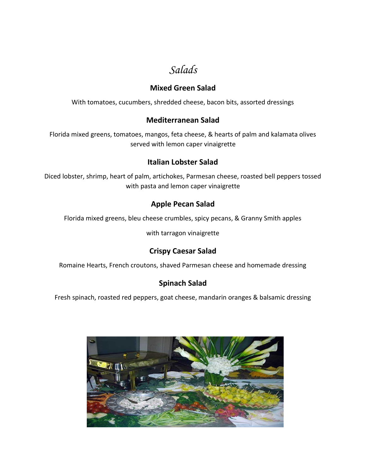*Salads* 

## **Mixed Green Salad**

With tomatoes, cucumbers, shredded cheese, bacon bits, assorted dressings

## **Mediterranean Salad**

Florida mixed greens, tomatoes, mangos, feta cheese, & hearts of palm and kalamata olives served with lemon caper vinaigrette

## **Italian Lobster Salad**

Diced lobster, shrimp, heart of palm, artichokes, Parmesan cheese, roasted bell peppers tossed with pasta and lemon caper vinaigrette

## **Apple Pecan Salad**

Florida mixed greens, bleu cheese crumbles, spicy pecans, & Granny Smith apples

with tarragon vinaigrette

# **Crispy Caesar Salad**

Romaine Hearts, French croutons, shaved Parmesan cheese and homemade dressing

# **Spinach Salad**

Fresh spinach, roasted red peppers, goat cheese, mandarin oranges & balsamic dressing

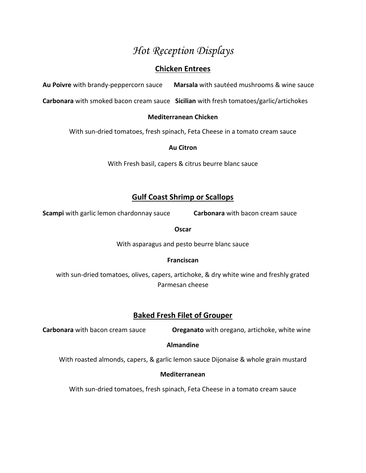# *Hot Reception Displays*

## **Chicken Entrees**

**Au Poivre** with brandy-peppercorn sauce **Marsala** with sautéed mushrooms & wine sauce

**Carbonara** with smoked bacon cream sauce **Sicilian** with fresh tomatoes/garlic/artichokes

## **Mediterranean Chicken**

With sun-dried tomatoes, fresh spinach, Feta Cheese in a tomato cream sauce

### **Au Citron**

With Fresh basil, capers & citrus beurre blanc sauce

## **Gulf Coast Shrimp or Scallops**

**Scampi** with garlic lemon chardonnay sauce **Carbonara** with bacon cream sauce

#### **Oscar**

With asparagus and pesto beurre blanc sauce

## **Franciscan**

with sun-dried tomatoes, olives, capers, artichoke, & dry white wine and freshly grated Parmesan cheese

## **Baked Fresh Filet of Grouper**

**Carbonara** with bacon cream sauce **Oreganato** with oregano, artichoke, white wine

## **Almandine**

With roasted almonds, capers, & garlic lemon sauce Dijonaise & whole grain mustard

## **Mediterranean**

With sun-dried tomatoes, fresh spinach, Feta Cheese in a tomato cream sauce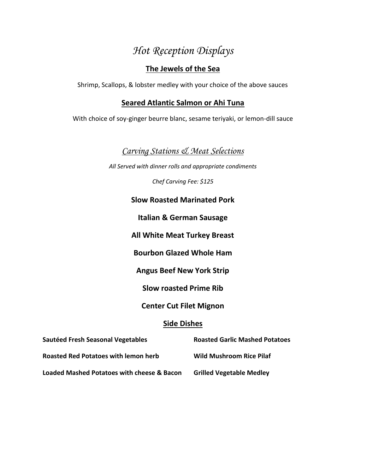# *Hot Reception Displays*

# **The Jewels of the Sea**

Shrimp, Scallops, & lobster medley with your choice of the above sauces

## **Seared Atlantic Salmon or Ahi Tuna**

With choice of soy-ginger beurre blanc, sesame teriyaki, or lemon-dill sauce

# *Carving Stations & Meat Selections*

*All Served with dinner rolls and appropriate condiments* 

*Chef Carving Fee: \$125* 

## **Slow Roasted Marinated Pork**

**Italian & German Sausage** 

**All White Meat Turkey Breast** 

**Bourbon Glazed Whole Ham** 

**Angus Beef New York Strip** 

**Slow roasted Prime Rib** 

**Center Cut Filet Mignon** 

## **Side Dishes**

| Sautéed Fresh Seasonal Vegetables           | <b>Roasted Garlic Mashed Potatoes</b> |
|---------------------------------------------|---------------------------------------|
| <b>Roasted Red Potatoes with lemon herb</b> | <b>Wild Mushroom Rice Pilaf</b>       |
| Loaded Mashed Potatoes with cheese & Bacon  | <b>Grilled Vegetable Medley</b>       |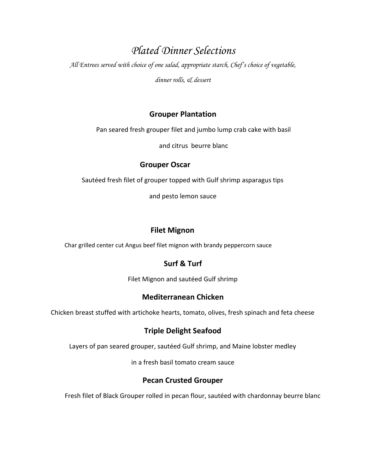# *Plated Dinner Selections*

*All Entrees served with choice of one salad, appropriate starch, Chef's choice of vegetable,* 

*dinner rolls, & dessert* 

## **Grouper Plantation**

Pan seared fresh grouper filet and jumbo lump crab cake with basil

and citrus beurre blanc

## **Grouper Oscar**

Sautéed fresh filet of grouper topped with Gulf shrimp asparagus tips

and pesto lemon sauce

# **Filet Mignon**

Char grilled center cut Angus beef filet mignon with brandy peppercorn sauce

# **Surf & Turf**

Filet Mignon and sautéed Gulf shrimp

# **Mediterranean Chicken**

Chicken breast stuffed with artichoke hearts, tomato, olives, fresh spinach and feta cheese

# **Triple Delight Seafood**

Layers of pan seared grouper, sautéed Gulf shrimp, and Maine lobster medley

in a fresh basil tomato cream sauce

# **Pecan Crusted Grouper**

Fresh filet of Black Grouper rolled in pecan flour, sautéed with chardonnay beurre blanc